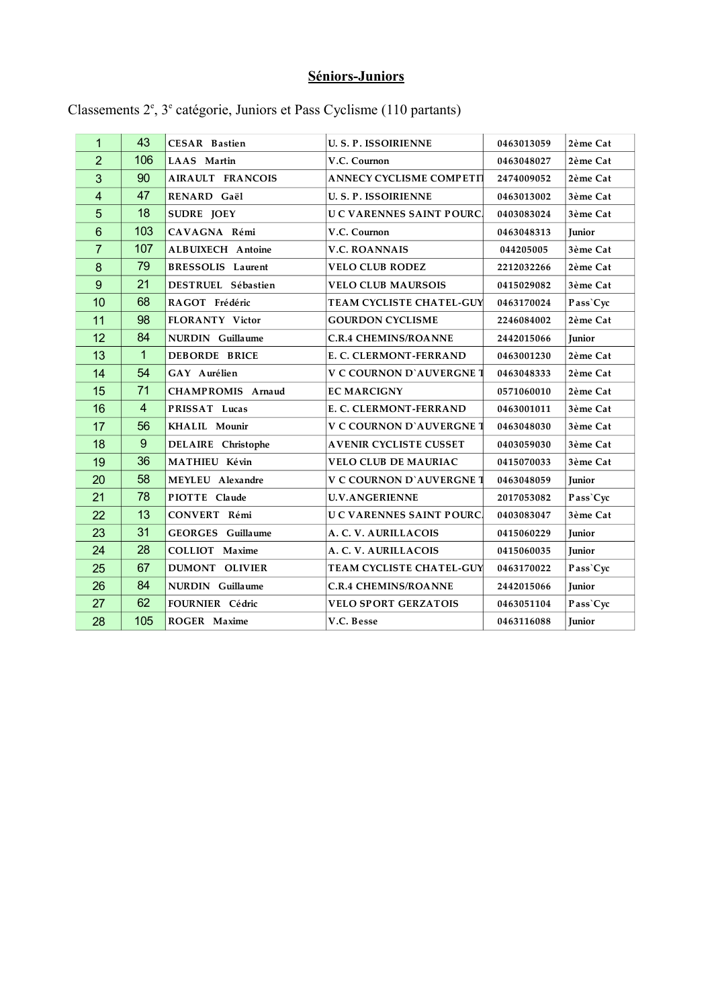## **Séniors-Juniors**

| 1                       | 43             | <b>CESAR Bastien</b>     | <b>U.S.P. ISSOIRIENNE</b>       | 0463013059 | 2ème Cat      |
|-------------------------|----------------|--------------------------|---------------------------------|------------|---------------|
| $\overline{2}$          | 106            | LAAS Martin              | V.C. Cournon                    | 0463048027 | 2ème Cat      |
| 3                       | 90             | AIRAULT FRANCOIS         | <b>ANNECY CYCLISME COMPETIT</b> | 2474009052 | 2ème Cat      |
| $\overline{\mathbf{4}}$ | 47             | RENARD Gaël              | <b>U.S.P. ISSOIRIENNE</b>       | 0463013002 | 3ème Cat      |
| 5                       | 18             | SUDRE JOEY               | <b>UC VARENNES SAINT POURC.</b> | 0403083024 | 3ème Cat      |
| 6                       | 103            | CAVAGNA Rémi             | V.C. Cournon                    | 0463048313 | <b>Junior</b> |
| $\overline{7}$          | 107            | <b>ALBUIXECH Antoine</b> | <b>V.C. ROANNAIS</b>            | 044205005  | 3ème Cat      |
| 8                       | 79             | <b>BRESSOLIS</b> Laurent | <b>VELO CLUB RODEZ</b>          | 2212032266 | 2ème Cat      |
| 9                       | 21             | DESTRUEL Sébastien       | <b>VELO CLUB MAURSOIS</b>       | 0415029082 | 3ème Cat      |
| 10                      | 68             | RAGOT Frédéric           | TEAM CYCLISTE CHATEL-GUY        | 0463170024 | Pass'Cyc      |
| 11                      | 98             | FLORANTY Victor          | <b>GOURDON CYCLISME</b>         | 2246084002 | 2ème Cat      |
| 12                      | 84             | NURDIN Guillaume         | <b>C.R.4 CHEMINS/ROANNE</b>     | 2442015066 | <b>Junior</b> |
| 13                      | $\mathbf{1}$   | <b>DEBORDE BRICE</b>     | E. C. CLERMONT-FERRAND          | 0463001230 | 2ème Cat      |
| 14                      | 54             | GAY Aurélien             | <b>V C COURNON D'AUVERGNE 1</b> | 0463048333 | 2ème Cat      |
| 15                      | 71             | CHAMPROMIS Arnaud        | <b>EC MARCIGNY</b>              | 0571060010 | 2ème Cat      |
| 16                      | $\overline{4}$ | PRISSAT Lucas            | E. C. CLERMONT-FERRAND          | 0463001011 | 3ème Cat      |
| 17                      | 56             | KHALIL Mounir            | <b>V C COURNON D'AUVERGNE 1</b> | 0463048030 | 3ème Cat      |
| 18                      | 9              | DELAIRE Christophe       | <b>AVENIR CYCLISTE CUSSET</b>   | 0403059030 | 3ème Cat      |
| 19                      | 36             | MATHIEU Kévin            | <b>VELO CLUB DE MAURIAC</b>     | 0415070033 | 3ème Cat      |
| 20                      | 58             | MEYLEU Alexandre         | <b>V C COURNON D'AUVERGNE 1</b> | 0463048059 | Junior        |
| 21                      | 78             | PIOTTE Claude            | <b>U.V.ANGERIENNE</b>           | 2017053082 | Pass'Cyc      |
| 22                      | 13             | CONVERT Rémi             | <b>UC VARENNES SAINT POURC.</b> | 0403083047 | 3ème Cat      |
| 23                      | 31             | <b>GEORGES</b> Guillaume | A. C. V. AURILLACOIS            | 0415060229 | Junior        |
| 24                      | 28             | COLLIOT Maxime           | A. C. V. AURILLACOIS            | 0415060035 | <b>Junior</b> |
| 25                      | 67             | DUMONT OLIVIER           | TEAM CYCLISTE CHATEL-GUY        | 0463170022 | Pass'Cyc      |
| 26                      | 84             | NURDIN Guillaume         | <b>C.R.4 CHEMINS/ROANNE</b>     | 2442015066 | Junior        |
| 27                      | 62             | FOURNIER Cédric          | <b>VELO SPORT GERZATOIS</b>     | 0463051104 | Pass'Cyc      |
| 28                      | 105            | ROGER Maxime             | V.C. Besse                      | 0463116088 | <b>Junior</b> |
|                         |                |                          |                                 |            |               |

Classements 2<sup>e</sup>, 3<sup>e</sup> catégorie, Juniors et Pass Cyclisme (110 partants)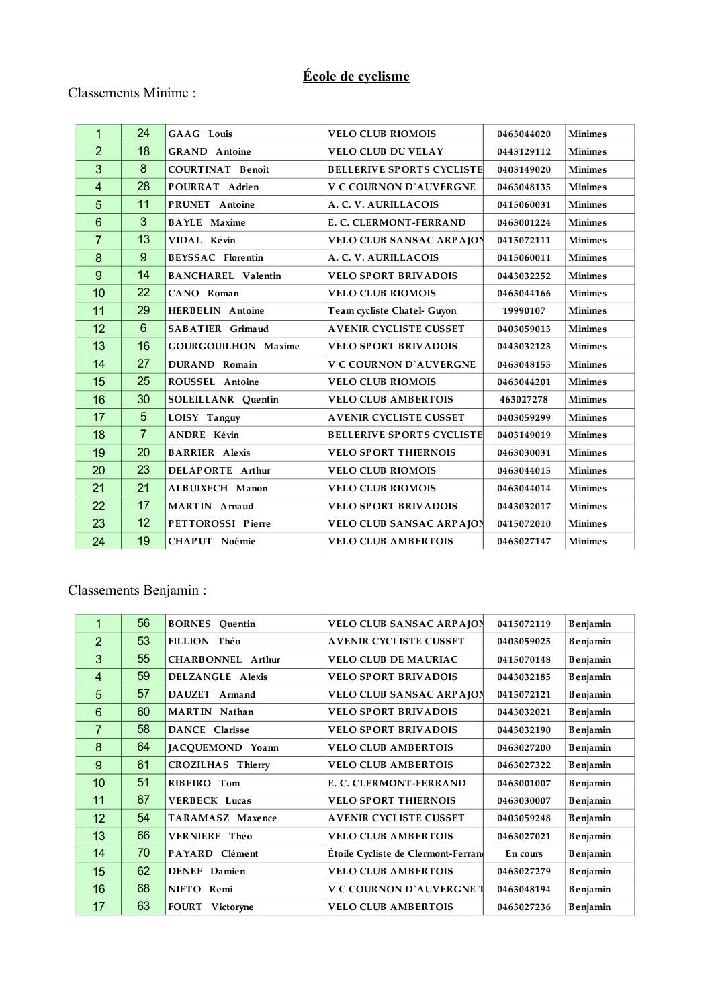## **École de cyclisme**

## Classements Minime :

| $\mathbf{1}$            | 24             | GAAG Louis                 | <b>VELO CLUB RIOMOIS</b>         | 0463044020 | <b>Minimes</b> |
|-------------------------|----------------|----------------------------|----------------------------------|------------|----------------|
| $\overline{2}$          | 18             | <b>GRAND</b> Antoine       | <b>VELO CLUB DU VELAY</b>        | 0443129112 | <b>Minimes</b> |
| 3                       | 8              | <b>COURTINAT Benoît</b>    | <b>BELLERIVE SPORTS CYCLISTE</b> | 0403149020 | <b>Minimes</b> |
| $\overline{\mathbf{4}}$ | 28             | POURRAT Adrien             | <b>V C COURNON D'AUVERGNE</b>    | 0463048135 | <b>Minimes</b> |
| 5                       | 11             | PRUNET Antoine             | A. C. V. AURILLACOIS             | 0415060031 | <b>Minimes</b> |
| $6\phantom{1}$          | $\overline{3}$ | <b>BAYLE</b> Maxime        | E. C. CLERMONT-FERRAND           | 0463001224 | <b>Minimes</b> |
| $\overline{7}$          | 13             | VIDAL Kévin                | <b>VELO CLUB SANSAC ARPAJON</b>  | 0415072111 | <b>Minimes</b> |
| 8                       | 9              | <b>BEYSSAC</b> Florentin   | A. C. V. AURILLACOIS             | 0415060011 | <b>Minimes</b> |
| $\boldsymbol{9}$        | 14             | <b>BANCHAREL Valentin</b>  | <b>VELO SPORT BRIVADOIS</b>      | 0443032252 | <b>Minimes</b> |
| 10                      | 22             | CANO Roman                 | <b>VELO CLUB RIOMOIS</b>         | 0463044166 | <b>Minimes</b> |
| 11                      | 29             | HERBELIN Antoine           | Team cycliste Chatel- Guyon      | 19990107   | <b>Minimes</b> |
| 12                      | $6\phantom{1}$ | SABATIER Grimaud           | <b>AVENIR CYCLISTE CUSSET</b>    | 0403059013 | <b>Minimes</b> |
| 13                      | 16             | <b>GOURGOUILHON Maxime</b> | <b>VELO SPORT BRIVADOIS</b>      | 0443032123 | <b>Minimes</b> |
| 14                      | 27             | DURAND Romain              | <b>V C COURNON D'AUVERGNE</b>    | 0463048155 | <b>Minimes</b> |
| 15                      | 25             | ROUSSEL Antoine            | <b>VELO CLUB RIOMOIS</b>         | 0463044201 | <b>Minimes</b> |
| 16                      | 30             | <b>SOLEILLANR</b> Quentin  | <b>VELO CLUB AMBERTOIS</b>       | 463027278  | <b>Minimes</b> |
| 17                      | 5              | LOISY Tanguy               | <b>AVENIR CYCLISTE CUSSET</b>    | 0403059299 | <b>Minimes</b> |
| 18                      | $\overline{7}$ | ANDRE Kévin                | <b>BELLERIVE SPORTS CYCLISTE</b> | 0403149019 | <b>Minimes</b> |
| 19                      | 20             | <b>BARRIER Alexis</b>      | <b>VELO SPORT THIERNOIS</b>      | 0463030031 | <b>Minimes</b> |
| 20                      | 23             | DELAPORTE Arthur           | <b>VELO CLUB RIOMOIS</b>         | 0463044015 | <b>Minimes</b> |
| 21                      | 21             | ALBUIXECH Manon            | <b>VELO CLUB RIOMOIS</b>         | 0463044014 | <b>Minimes</b> |
| 22                      | 17             | MARTIN Arnaud              | <b>VELO SPORT BRIVADOIS</b>      | 0443032017 | <b>Minimes</b> |
| 23                      | 12             | PETTOROSSI Pierre          | <b>VELO CLUB SANSAC ARPAJON</b>  | 0415072010 | <b>Minimes</b> |
| 24                      | 19             | CHAPUT Noémie              | <b>VELO CLUB AMBERTOIS</b>       | 0463027147 | <b>Minimes</b> |

Classements Benjamin :

| 1              | 56 | <b>BORNES</b> Ouentin    | <b>VELO CLUB SANSAC ARPAJON</b>     | 0415072119 | <b>Benjamin</b> |
|----------------|----|--------------------------|-------------------------------------|------------|-----------------|
| $\overline{2}$ | 53 | FILLION Théo             | <b>AVENIR CYCLISTE CUSSET</b>       | 0403059025 | <b>Benjamin</b> |
| 3              | 55 | <b>CHARBONNEL Arthur</b> | <b>VELO CLUB DE MAURIAC</b>         | 0415070148 | Benjamin        |
| $\overline{4}$ | 59 | DELZANGLE Alexis         | <b>VELO SPORT BRIVADOIS</b>         | 0443032185 | <b>Benjamin</b> |
| 5              | 57 | DAUZET Armand            | <b>VELO CLUB SANSAC ARPAJON</b>     | 0415072121 | Benjamin        |
| 6              | 60 | MARTIN Nathan            | <b>VELO SPORT BRIVADOIS</b>         | 0443032021 | Benjamin        |
| $\overline{7}$ | 58 | <b>DANCE</b> Clarisse    | <b>VELO SPORT BRIVADOIS</b>         | 0443032190 | Benjamin        |
| 8              | 64 | JACQUEMOND Yoann         | <b>VELO CLUB AMBERTOIS</b>          | 0463027200 | <b>Benjamin</b> |
| 9              | 61 | <b>CROZILHAS Thierry</b> | <b>VELO CLUB AMBERTOIS</b>          | 0463027322 | Benjamin        |
| 10             | 51 | RIBEIRO Tom              | E. C. CLERMONT-FERRAND              | 0463001007 | Benjamin        |
| 11             | 67 | <b>VERBECK Lucas</b>     | <b>VELO SPORT THIERNOIS</b>         | 0463030007 | <b>Benjamin</b> |
| 12             | 54 | <b>TARAMASZ Maxence</b>  | <b>AVENIR CYCLISTE CUSSET</b>       | 0403059248 | Benjamin        |
| 13             | 66 | VERNIERE Théo            | <b>VELO CLUB AMBERTOIS</b>          | 0463027021 | Benjamin        |
| 14             | 70 | PAYARD Clément           | Etoile Cycliste de Clermont-Ferrand | En cours   | Benjamin        |
| 15             | 62 | <b>DENEF</b> Damien      | <b>VELO CLUB AMBERTOIS</b>          | 0463027279 | Benjamin        |
| 16             | 68 | NIETO Remi               | <b>V C COURNON D`AUVERGNE 1</b>     | 0463048194 | Benjamin        |
| 17             | 63 | FOURT Victoryne          | <b>VELO CLUB AMBERTOIS</b>          | 0463027236 | <b>Benjamin</b> |